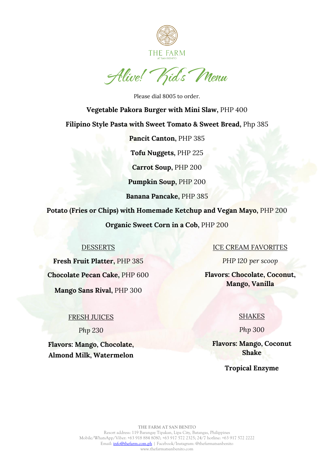

Alive! Kids Menu

Please dial 8005 to order. **Vegetable Pakora Burger with Mini Slaw,** PHP 400 **Filipino Style Pasta with Sweet Tomato & Sweet Bread,** Php 385 **Pancit Canton,** PHP 385 **Tofu Nuggets,** PHP 225 **Carrot Soup,** PHP 200 **Pumpkin Soup,** PHP 200 **Banana Pancake,** PHP 385

**Potato (Fries or Chips) with Homemade Ketchup and Vegan Mayo,** PHP 200 **Organic Sweet Corn in a Cob,** PHP 200

# DESSERTS

**Fresh Fruit Platter,** PHP 385 **Chocolate Pecan Cake,** PHP 600 **Mango Sans Rival,** PHP 300

## FRESH JUICES

*Php 230*

**Flavors: Mango, Chocolate, Almond Milk, Watermelon**

# ICE CREAM FAVORITES

*PHP 120 per scoop*

**Flavors: Chocolate, Coconut, Mango, Vanilla**

## **SHAKES**

*Php 300*

**Flavors: Mango, Coconut Shake**

# **Tropical Enzyme**